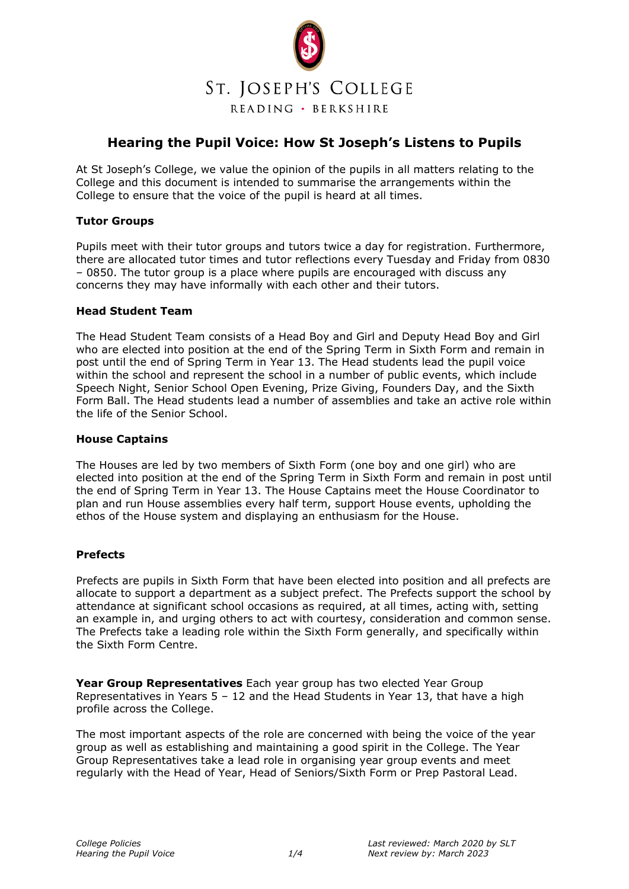

# **Hearing the Pupil Voice: How St Joseph's Listens to Pupils**

At St Joseph's College, we value the opinion of the pupils in all matters relating to the College and this document is intended to summarise the arrangements within the College to ensure that the voice of the pupil is heard at all times.

# **Tutor Groups**

Pupils meet with their tutor groups and tutors twice a day for registration. Furthermore, there are allocated tutor times and tutor reflections every Tuesday and Friday from 0830 – 0850. The tutor group is a place where pupils are encouraged with discuss any concerns they may have informally with each other and their tutors.

### **Head Student Team**

The Head Student Team consists of a Head Boy and Girl and Deputy Head Boy and Girl who are elected into position at the end of the Spring Term in Sixth Form and remain in post until the end of Spring Term in Year 13. The Head students lead the pupil voice within the school and represent the school in a number of public events, which include Speech Night, Senior School Open Evening, Prize Giving, Founders Day, and the Sixth Form Ball. The Head students lead a number of assemblies and take an active role within the life of the Senior School.

### **House Captains**

The Houses are led by two members of Sixth Form (one boy and one girl) who are elected into position at the end of the Spring Term in Sixth Form and remain in post until the end of Spring Term in Year 13. The House Captains meet the House Coordinator to plan and run House assemblies every half term, support House events, upholding the ethos of the House system and displaying an enthusiasm for the House.

# **Prefects**

Prefects are pupils in Sixth Form that have been elected into position and all prefects are allocate to support a department as a subject prefect. The Prefects support the school by attendance at significant school occasions as required, at all times, acting with, setting an example in, and urging others to act with courtesy, consideration and common sense. The Prefects take a leading role within the Sixth Form generally, and specifically within the Sixth Form Centre.

**Year Group Representatives** Each year group has two elected Year Group Representatives in Years 5 – 12 and the Head Students in Year 13, that have a high profile across the College.

The most important aspects of the role are concerned with being the voice of the year group as well as establishing and maintaining a good spirit in the College. The Year Group Representatives take a lead role in organising year group events and meet regularly with the Head of Year, Head of Seniors/Sixth Form or Prep Pastoral Lead.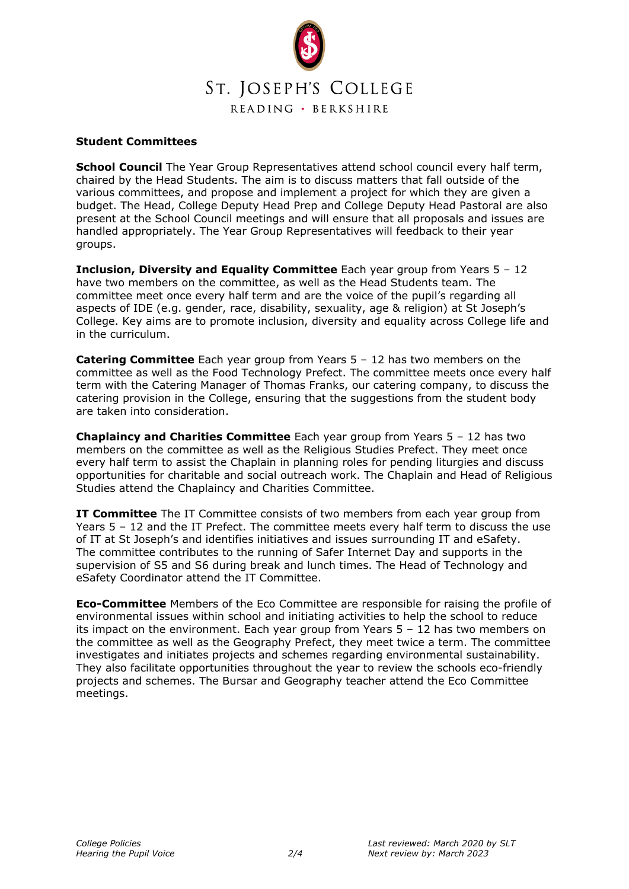

## **Student Committees**

**School Council** The Year Group Representatives attend school council every half term, chaired by the Head Students. The aim is to discuss matters that fall outside of the various committees, and propose and implement a project for which they are given a budget. The Head, College Deputy Head Prep and College Deputy Head Pastoral are also present at the School Council meetings and will ensure that all proposals and issues are handled appropriately. The Year Group Representatives will feedback to their year groups.

**Inclusion, Diversity and Equality Committee** Each year group from Years 5 – 12 have two members on the committee, as well as the Head Students team. The committee meet once every half term and are the voice of the pupil's regarding all aspects of IDE (e.g. gender, race, disability, sexuality, age & religion) at St Joseph's College. Key aims are to promote inclusion, diversity and equality across College life and in the curriculum.

**Catering Committee** Each year group from Years 5 – 12 has two members on the committee as well as the Food Technology Prefect. The committee meets once every half term with the Catering Manager of Thomas Franks, our catering company, to discuss the catering provision in the College, ensuring that the suggestions from the student body are taken into consideration.

**Chaplaincy and Charities Committee** Each year group from Years 5 – 12 has two members on the committee as well as the Religious Studies Prefect. They meet once every half term to assist the Chaplain in planning roles for pending liturgies and discuss opportunities for charitable and social outreach work. The Chaplain and Head of Religious Studies attend the Chaplaincy and Charities Committee.

**IT Committee** The IT Committee consists of two members from each year group from Years 5 – 12 and the IT Prefect. The committee meets every half term to discuss the use of IT at St Joseph's and identifies initiatives and issues surrounding IT and eSafety. The committee contributes to the running of Safer Internet Day and supports in the supervision of S5 and S6 during break and lunch times. The Head of Technology and eSafety Coordinator attend the IT Committee.

**Eco-Committee** Members of the Eco Committee are responsible for raising the profile of environmental issues within school and initiating activities to help the school to reduce its impact on the environment. Each year group from Years 5 – 12 has two members on the committee as well as the Geography Prefect, they meet twice a term. The committee investigates and initiates projects and schemes regarding environmental sustainability. They also facilitate opportunities throughout the year to review the schools eco-friendly projects and schemes. The Bursar and Geography teacher attend the Eco Committee meetings.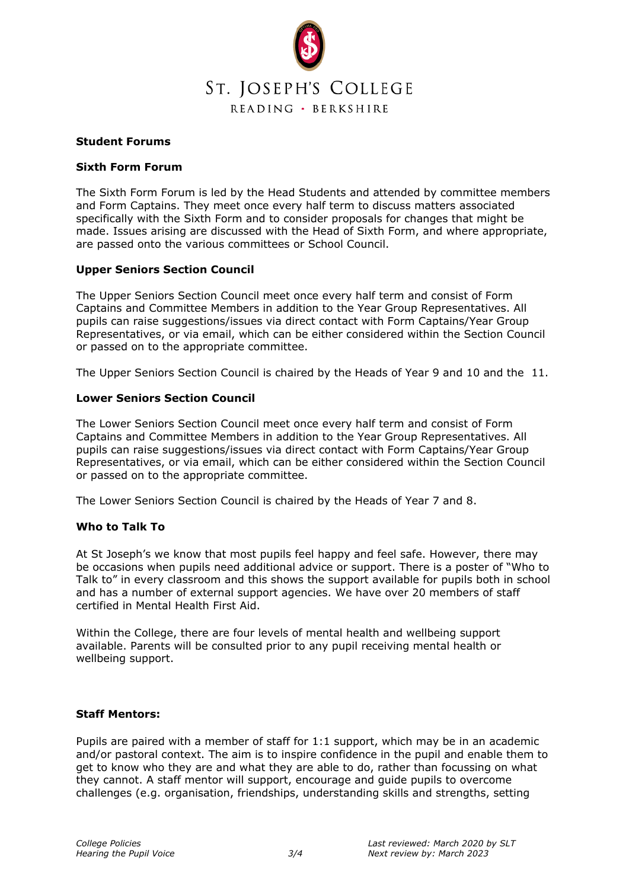

### **Student Forums**

## **Sixth Form Forum**

The Sixth Form Forum is led by the Head Students and attended by committee members and Form Captains. They meet once every half term to discuss matters associated specifically with the Sixth Form and to consider proposals for changes that might be made. Issues arising are discussed with the Head of Sixth Form, and where appropriate, are passed onto the various committees or School Council.

## **Upper Seniors Section Council**

The Upper Seniors Section Council meet once every half term and consist of Form Captains and Committee Members in addition to the Year Group Representatives. All pupils can raise suggestions/issues via direct contact with Form Captains/Year Group Representatives, or via email, which can be either considered within the Section Council or passed on to the appropriate committee.

The Upper Seniors Section Council is chaired by the Heads of Year 9 and 10 and the 11.

## **Lower Seniors Section Council**

The Lower Seniors Section Council meet once every half term and consist of Form Captains and Committee Members in addition to the Year Group Representatives. All pupils can raise suggestions/issues via direct contact with Form Captains/Year Group Representatives, or via email, which can be either considered within the Section Council or passed on to the appropriate committee.

The Lower Seniors Section Council is chaired by the Heads of Year 7 and 8.

# **Who to Talk To**

At St Joseph's we know that most pupils feel happy and feel safe. However, there may be occasions when pupils need additional advice or support. There is a poster of "Who to Talk to" in every classroom and this shows the support available for pupils both in school and has a number of external support agencies. We have over 20 members of staff certified in Mental Health First Aid.

Within the College, there are four levels of mental health and wellbeing support available. Parents will be consulted prior to any pupil receiving mental health or wellbeing support.

### **Staff Mentors:**

Pupils are paired with a member of staff for 1:1 support, which may be in an academic and/or pastoral context. The aim is to inspire confidence in the pupil and enable them to get to know who they are and what they are able to do, rather than focussing on what they cannot. A staff mentor will support, encourage and guide pupils to overcome challenges (e.g. organisation, friendships, understanding skills and strengths, setting